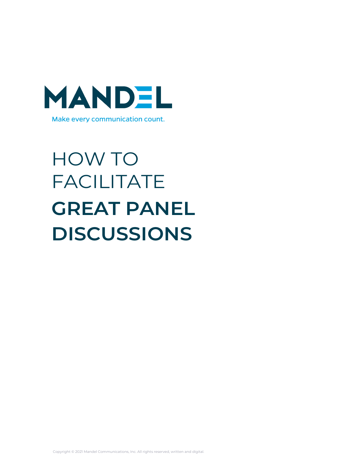

# HOW TO FACILITATE **GREAT PANEL DISCUSSIONS**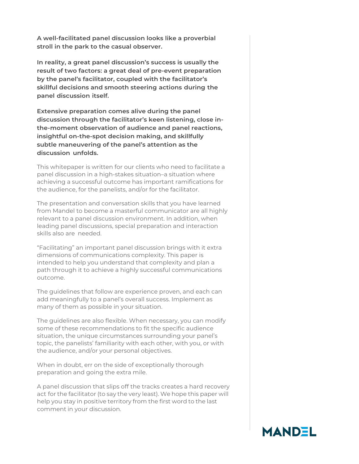**A well-facilitated panel discussion looks like a proverbial stroll in the park to the casual observer.**

**In reality, a great panel discussion's success is usually the result of two factors: a great deal of pre-event preparation by the panel's facilitator, coupled with the facilitator's skillful decisions and smooth steering actions during the panel discussion itself.**

**Extensive preparation comes alive during the panel discussion through the facilitator's keen listening, close inthe-moment observation of audience and panel reactions, insightful on-the-spot decision making, and skillfully subtle maneuvering of the panel's attention as the discussion unfolds.**

This whitepaper is written for our clients who need to facilitate a panel discussion in a high-stakes situation–a situation where achieving a successful outcome has important ramifications for the audience, for the panelists, and/or for the facilitator.

The presentation and conversation skills that you have learned from Mandel to become a masterful communicator are all highly relevant to a panel discussion environment. In addition, when leading panel discussions, special preparation and interaction skills also are needed.

"Facilitating" an important panel discussion brings with it extra dimensions of communications complexity. This paper is intended to help you understand that complexity and plan a path through it to achieve a highly successful communications outcome.

The guidelines that follow are experience proven, and each can add meaningfully to a panel's overall success. Implement as many of them as possible in your situation.

The guidelines are also flexible. When necessary, you can modify some of these recommendations to fit the specific audience situation, the unique circumstances surrounding your panel's topic, the panelists' familiarity with each other, with you, or with the audience, and/or your personal objectives.

When in doubt, err on the side of exceptionally thorough preparation and going the extra mile.

A panel discussion that slips off the tracks creates a hard recovery act for the facilitator (to say the very least). We hope this paper will help you stay in positive territory from the first word to the last comment in your discussion.

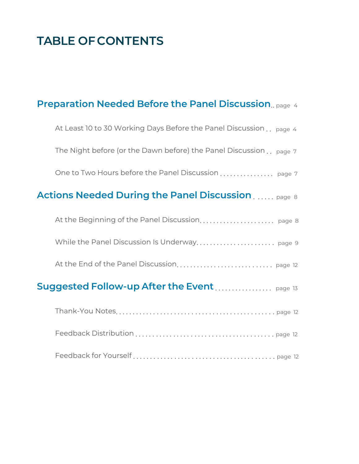### **TABLE OF CONTENTS**

### **Preparation Needed Before the Panel Discussion**.. page <sup>4</sup>

| At Least 10 to 30 Working Days Before the Panel Discussion page 4                            |  |
|----------------------------------------------------------------------------------------------|--|
| The Night before (or the Dawn before) the Panel Discussion page 7                            |  |
|                                                                                              |  |
| <b>Actions Needed During the Panel Discussion Actions Needed During the Panel Discussion</b> |  |
|                                                                                              |  |
|                                                                                              |  |
|                                                                                              |  |
|                                                                                              |  |
|                                                                                              |  |
|                                                                                              |  |
|                                                                                              |  |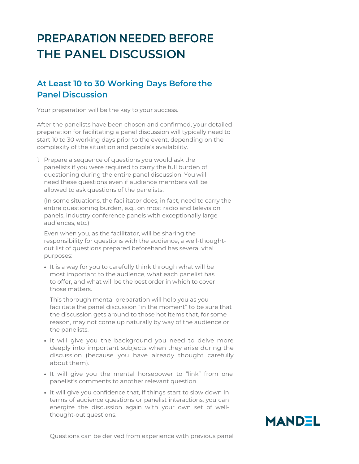### **PREPARATION NEEDED BEFORE THE PANEL DISCUSSION**

#### **At Least 10 to 30 Working Days Before the Panel Discussion**

Your preparation will be the key to your success.

After the panelists have been chosen and confirmed, your detailed preparation for facilitating a panel discussion will typically need to start 10 to 30 working days prior to the event, depending on the complexity of the situation and people's availability.

1. Prepare a sequence of questions you would ask the panelists if you were required to carry the full burden of questioning during the entire panel discussion. You will need these questions even if audience members will be allowed to ask questions of the panelists.

(In some situations, the facilitator does, in fact, need to carry the entire questioning burden, e.g., on most radio and television panels, industry conference panels with exceptionally large audiences, etc.)

Even when you, as the facilitator, will be sharing the responsibility for questions with the audience, a well-thoughtout list of questions prepared beforehand has several vital purposes:

• It is a way for you to carefully think through what will be most important to the audience, what each panelist has to offer, and what will be the best order in which to cover those matters.

This thorough mental preparation will help you as you facilitate the panel discussion "in the moment" to be sure that the discussion gets around to those hot items that, for some reason, may not come up naturally by way of the audience or the panelists.

- It will give you the background you need to delve more deeply into important subjects when they arise during the discussion (because you have already thought carefully about them).
- It will give you the mental horsepower to "link" from one panelist's comments to another relevant question.
- It will give you confidence that, if things start to slow down in terms of audience questions or panelist interactions, you can energize the discussion again with your own set of wellthought-out questions.



Questions can be derived from experience with previous panel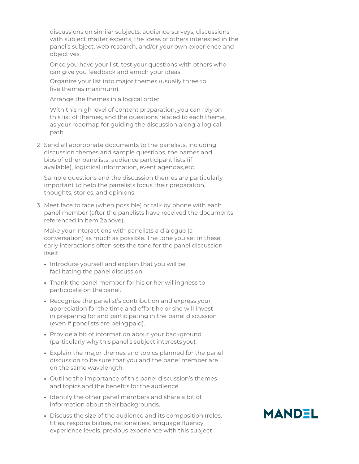discussions on similar subjects, audience surveys, discussions with subject matter experts, the ideas of others interested in the panel's subject, web research, and/or your own experience and objectives.

Once you have your list, test your questions with others who can give you feedback and enrich your ideas.

Organize your list into major themes (usually three to five themes maximum).

Arrange the themes in a logical order.

With this high level of content preparation, you can rely on this list of themes, and the questions related to each theme, as your roadmap for guiding the discussion along a logical path.

2. Send all appropriate documents to the panelists, including discussion themes and sample questions, the names and bios of other panelists, audience participant lists (if available), logistical information, event agendas,etc.

Sample questions and the discussion themes are particularly important to help the panelists focus their preparation, thoughts, stories, and opinions.

3. Meet face to face (when possible) or talk by phone with each panel member (after the panelists have received the documents referenced in item 2above).

Make your interactions with panelists a dialogue (a conversation) as much as possible. The tone you set in these early interactions often sets the tone for the panel discussion itself.

- Introduce yourself and explain that you will be facilitating the panel discussion.
- Thank the panel member for his or her willingness to participate on the panel.
- Recognize the panelist's contribution and express your appreciation for the time and effort he or she will invest in preparing for and participating in the panel discussion (even if panelists are beingpaid).
- Provide a bit of information about your background (particularly why this panel's subject interests you).
- Explain the major themes and topics planned for the panel discussion to be sure that you and the panel member are on the same wavelength.
- Outline the importance of this panel discussion's themes and topics and the benefits for the audience.
- Identify the other panel members and share a bit of information about their backgrounds.
- Discuss the size of the audience and its composition (roles, titles, responsibilities, nationalities, language fluency, experience levels, previous experience with this subject

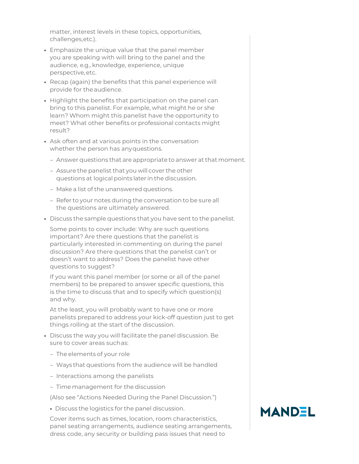matter, interest levels in these topics, opportunities, challenges,etc.).

- Emphasize the unique value that the panel member you are speaking with will bring to the panel and the audience, e.g., knowledge, experience, unique perspective,etc.
- Recap (again) the benefits that this panel experience will provide for theaudience.
- Highlight the benefits that participation on the panel can bring to this panelist. For example, what might he or she learn? Whom might this panelist have the opportunity to meet? What other benefits or professional contacts might result?
- Ask often and at various points in the conversation whether the person has anyquestions.
	- Answer questions that are appropriate to answer at that moment.
	- Assure the panelist that you will cover the other questions at logical points later in the discussion.
	- Make a list of the unanswered questions.
	- Refer to your notes during the conversation to be sure all the questions are ultimately answered.
- Discuss the sample questions that you have sent to the panelist.

Some points to cover include: Why are such questions important? Are there questions that the panelist is particularly interested in commenting on during the panel discussion? Are there questions that the panelist can't or doesn't want to address? Does the panelist have other questions to suggest?

If you want this panel member (or some or all of the panel members) to be prepared to answer specific questions, this is the time to discuss that and to specify which question(s) and why.

At the least, you will probably want to have one or more panelists prepared to address your kick-off question just to get things rolling at the start of the discussion.

- Discuss the way you will facilitate the panel discussion. Be sure to cover areas suchas:
	- The elements of your role
	- Ways that questions from the audience will be handled
	- Interactions among the panelists
	- Time management for the discussion

(Also see "Actions Needed During the Panel Discussion.")

• Discuss the logistics for the panel discussion.

Cover items such as times, location, room characteristics, panel seating arrangements, audience seating arrangements, dress code, any security or building pass issues that need to

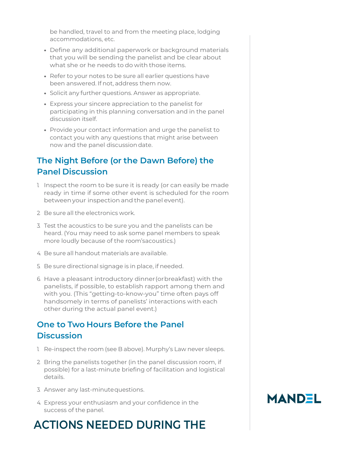be handled, travel to and from the meeting place, lodging accommodations, etc.

- Define any additional paperwork or background materials that you will be sending the panelist and be clear about what she or he needs to do with those items.
- Refer to your notes to be sure all earlier questions have been answered. If not, address them now.
- Solicit any further questions. Answer as appropriate.
- Express your sincere appreciation to the panelist for participating in this planning conversation and in the panel discussion itself.
- Provide your contact information and urge the panelist to contact you with any questions that might arise between now and the panel discussiondate.

### **The Night Before (or the Dawn Before) the Panel Discussion**

- 1. Inspect the room to be sure it is ready (or can easily be made ready in time if some other event is scheduled for the room betweenyour inspection and the panel event).
- 2. Be sure all the electronics work.
- 3. Test the acoustics to be sure you and the panelists can be heard. (You may need to ask some panel members to speak more loudly because of the room'sacoustics.)
- 4. Be sure all handout materials are available.
- 5. Be sure directional signage is in place, if needed.
- 6. Have a pleasant introductory dinner(or breakfast) with the panelists, if possible, to establish rapport among them and with you. (This "getting-to-know-you" time often pays off handsomely in terms of panelists' interactions with each other during the actual panel event.)

### **One to Two Hours Before the Panel Discussion**

- 1. Re-inspect the room (see B above). Murphy's Law never sleeps.
- 2. Bring the panelists together (in the panel discussion room, if possible) for a last-minute briefing of facilitation and logistical details.
- 3. Answer any last-minutequestions.
- 4. Express your enthusiasm and your confidence in the success of the panel.

### **ACTIONS NEEDED DURING THE**

### **MANDEL**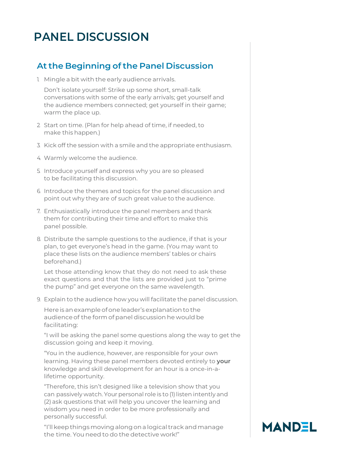### **PANEL DISCUSSION**

#### **At the Beginning of the Panel Discussion**

1. Mingle a bit with the early audience arrivals.

Don't isolate yourself: Strike up some short, small-talk conversations with some of the early arrivals; get yourself and the audience members connected; get yourself in their game; warm the place up.

- 2. Start on time. (Plan for help ahead of time, if needed, to make this happen.)
- 3. Kick off the session with a smile and the appropriate enthusiasm.
- 4. Warmly welcome the audience.
- 5. Introduce yourself and express why you are so pleased to be facilitating this discussion.
- 6. Introduce the themes and topics for the panel discussion and point out why they are of such great value to the audience.
- 7. Enthusiastically introduce the panel members and thank them for contributing their time and effort to make this panel possible.
- 8. Distribute the sample questions to the audience, if that is your plan, to get everyone's head in the game. (You may want to place these lists on the audience members' tables or chairs beforehand.)

Let those attending know that they do not need to ask these exact questions and that the lists are provided just to "prime the pump" and get everyone on the same wavelength.

9. Explain to the audience how you will facilitate the panel discussion.

Here is anexampleofone leader's explanation to the audience of the form of panel discussion he would be facilitating:

"I will be asking the panel some questions along the way to get the discussion going and keep it moving.

"You in the audience, however, are responsible for your own learning. Having these panel members devoted entirely to **your** knowledge and skill development for an hour is a once-in-alifetime opportunity.

"Therefore, this isn't designed like a television show that you can passively watch. Your personal role is to (1) listen intently and (2) ask questions that will help you uncover the learning and wisdom you need in order to be more professionally and personally successful.

"I'll keepthingsmovingalongon a logical track andmanage the time. You need to do the detective work!"

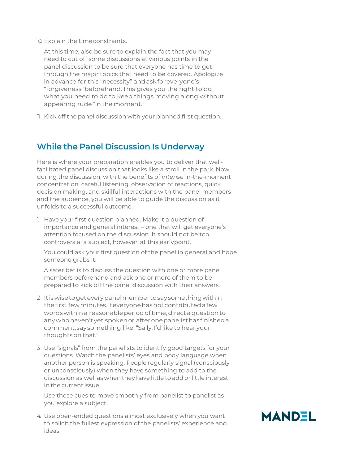10. Explain the timeconstraints.

At this time, also be sure to explain the fact that you may need to cut off some discussions at various points in the panel discussion to be sure that everyone has time to get through the major topics that need to be covered. Apologize in advance for this "necessity" andaskforeveryone's "forgiveness"beforehand.This gives you the right to do what you need to do to keep things moving along without appearing rude "in the moment."

11. Kick off the panel discussion with your planned first question.

#### **While the Panel Discussion Is Underway**

Here is where your preparation enables you to deliver that wellfacilitated panel discussion that looks like a stroll in the park. Now, during the discussion, with the benefits of *intense* in-the-moment concentration, careful listening, observation of reactions, quick decision making, and skillful interactions with the panel members and the audience, you will be able to guide the discussion as it unfolds to a successful outcome.

1. Have your first question planned. Make it a question of importance and general interest – one that will get everyone's attention focused on the discussion. It should not be too controversial a subject, however, at this earlypoint.

You could ask your first question of the panel in general and hope someone grabs it.

A safer bet is to discuss the question with one or more panel members beforehand and ask one or more of them to be prepared to kick off the panel discussion with their answers.

- 2. It is wisetogeteverypanelmember to saysomething within the first fewminutes.Ifeveryonehasnot contributed a few words within a reasonable period of time, direct a question to anywhohaven't yet spokenor,afteronepanelisthasfinished a comment,saysomething like,"Sally, I'd like to hear your thoughts on that."
- 3. Use "signals" from the panelists to identify good targets for your questions. Watch the panelists' eyes and body language when another person is speaking. People regularly signal (consciously or unconsciously) when they have something to add to the discussion as well as when they have little to add or little interest in the current issue.

Use these cues to move smoothly from panelist to panelist as you explore a subject.

4. Use open-ended questions almost exclusively when you want to solicit the fullest expression of the panelists' experience and ideas.

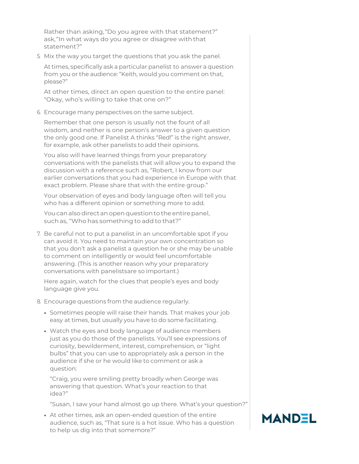Rather than asking, "Do you agree with that statement?" ask,"In what ways do you agree or disagree with that statement?"

5. Mix the way you target the questions that you ask the panel.

At times, specifically ask a particular panelist to answer a question from you or the audience: "Keith, would you comment on that, please?"

At other times, direct an open question to the entire panel: "Okay, who's willing to take that one on?"

6. Encourage many perspectives on the same subject.

Remember that one person is usually not the fount of all wisdom, and neither is one person's answer to a given question the only good one. If Panelist A thinks "Red!" is the right answer, for example, ask other panelists to add their opinions.

You also will have learned things from your preparatory conversations with the panelists that will allow you to expand the discussion with a reference such as, "Robert, I know from our earlier conversations that you had experience in Europe with that exact problem. Please share that with the entire group."

Your observation of eyes and body language often will tell you who has a different opinion or something more to add.

Youcanalsodirectanopenquestiontothe entire panel, suchas, "Who has something to add to that?"

7. Be careful not to put a panelist in an uncomfortable spot if you can avoid it. You need to maintain your own concentration so that you don't ask a panelist a question he or she may be unable to comment on intelligently or would feel uncomfortable answering. (This is another reason why your preparatory conversations with panelistsare so important.)

Here again, watch for the clues that people's eyes and body language give you.

- 8. Encourage questions from the audience regularly.
	- Sometimes people will raise their hands. That makes your job easy at times, but usually you have to do some facilitating.
	- Watch the eyes and body language of audience members just as you do those of the panelists. You'll see expressions of curiosity, bewilderment, interest, comprehension, or "light bulbs" that you can use to appropriately ask a person in the audience if she or he would like to comment or ask a question:

"Craig, you were smiling pretty broadly when George was answering that question. What's your reaction to that idea?"

"Susan, I saw your hand almost go up there. What's your question?"

• At other times, ask an open-ended question of the entire audience, such as, "That sure is a hot issue. Who has a question to help us dig into that somemore?"

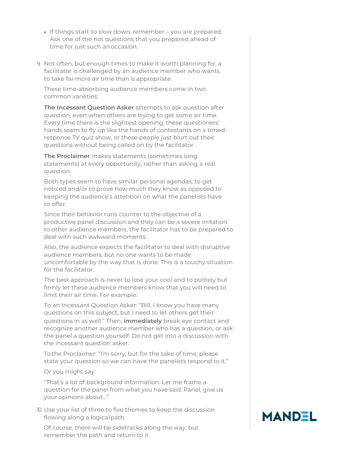- If things start to slow down, remember you are prepared. Ask one of the hot questions that you prepared ahead of time for just such anoccasion.
- 9. Not often, but enough times to make it worth planning for, a facilitator is challenged by an audience member who wants to take far more air time than is appropriate.

These time-absorbing audience members come in two common varieties:

**The Incessant Question Asker** attempts to ask question after question, even when others are trying to get some air time. Every time there is the slightest opening, these questioners' hands seem to fly up like the hands of contestants on a timedresponse TV quiz show, or these people just blurt out their questions without being called on by the facilitator.

**The Proclaimer** makes statements (sometimes long statements) at every opportunity, rather than asking a real question.

Both types seem to have similar personal agendas: to get noticed and/or to prove how much they know as opposed to keeping the audience's attention on what the panelists have to offer.

Since their behavior runs counter to the objective of a productive panel discussion and they can be a severe irritation to other audience members, the facilitator has to be prepared to deal with such awkward moments.

Also, the audience expects the facilitator to deal with disruptive audience members, but no one wants to be made uncomfortable by the way that is done. This is a touchy situation for the facilitator.

The best approach is never to lose your cool and to politely but firmly let these audience members know that you will need to limit their air time. For example:

To an Incessant Question Asker: "Bill, I know you have many questions on this subject, but I need to let others get their questions in as well." Then, **immediately** break eye contact and recognize another audience member who has a question, or ask the panel a question yourself. Do not get into a discussion with the incessant question asker.

To the Proclaimer: "I'm sorry, but for the sake of time, please state your question so we can have the panelists respond to it."

#### Or you might say:

"That's a lot of background information. Let me frame a question for the panel from what you have said. Panel, give us your opinions about…"

10. Use your list of three to five themes to keep the discussion flowing along a logicalpath.

Of course, there will be sidetracks along the way, but remember the path and return to it.

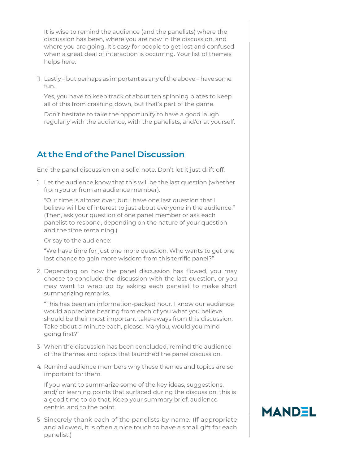It is wise to remind the audience (and the panelists) where the discussion has been, where you are now in the discussion, and where you are going. It's easy for people to get lost and confused when a great deal of interaction is occurring. Your list of themes helps here.

11. Lastly – but perhaps as important as any of the above – have some fun.

Yes, you have to keep track of about ten spinning plates to keep all of this from crashing down, but that's part of the game.

Don't hesitate to take the opportunity to have a good laugh regularly with the audience, with the panelists, and/or at yourself.

#### **At the End of the Panel Discussion**

End the panel discussion on a solid note. Don't let it just drift off.

1. Let the audience know that this will be the last question (whether from you or from an audience member).

"Our time is almost over, but I have one last question that I believe will be of interest to just about everyone in the audience." (Then, ask your question of one panel member or ask each panelist to respond, depending on the nature of your question and the time remaining.)

Or say to the audience:

"We have time for just one more question. Who wants to get one last chance to gain more wisdom from this terrific panel?"

2. Depending on how the panel discussion has flowed, you may choose to conclude the discussion with the last question, or you may want to wrap up by asking each panelist to make short summarizing remarks.

"This has been an information-packed hour. I know our audience would appreciate hearing from each of you what you believe should be their most important take-aways from this discussion. Take about a minute each, please. Marylou, would you mind going first?"

- 3. When the discussion has been concluded, remind the audience of the themes and topics that launched the panel discussion.
- 4. Remind audience members why these themes and topics are so important for them.

If you want to summarize some of the key ideas, suggestions, and/ or learning points that surfaced during the discussion, this is a good time to do that. Keep your summary brief, audiencecentric, and to the point.

5. Sincerely thank each of the panelists by name. (If appropriate and allowed, it is often a nice touch to have a small gift for each panelist.)

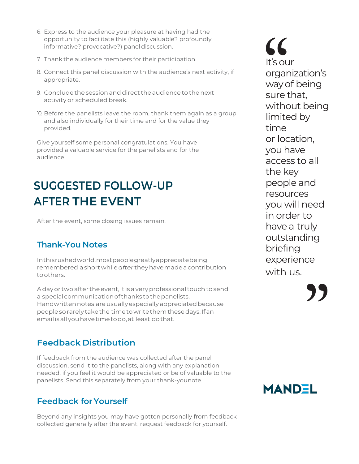- 6. Express to the audience your pleasure at having had the opportunity to facilitate this (highly valuable? profoundly informative? provocative?) paneldiscussion.
- 7. Thank the audience members for their participation.
- 8. Connect this panel discussion with the audience's next activity, if appropriate.
- 9. Conclude the session and direct the audience to the next activity or scheduled break.
- 10. Before the panelists leave the room, thank them again as a group and also individually for their time and for the value they provided.

Give yourself some personal congratulations. You have provided a valuable service for the panelists and for the audience.

## **SUGGESTED FOLLOW-UP AFTER THE EVENT**

After the event, some closing issues remain.

### **Thank-You Notes**

Inthisrushedworld,mostpeople greatly appreciate being remembered ashortwhile*after* theyhavemade a contribution to others.

A day or two after the event, it is a very professional touch to send a special communication of thanks to the panelists. Handwritten notes are usually especially appreciated because peopleso rarely take the timeto write themthesedays.Ifan emailisallyouhave time to do,at least do that.

### **Feedback Distribution**

If feedback from the audience was collected after the panel discussion, send it to the panelists, along with any explanation needed, if you feel it would be appreciated or be of valuable to the panelists. Send this separately from your thank-younote.

#### **Feedback forYourself**

Beyond any insights you may have gotten personally from feedback collected generally after the event, request feedback for yourself.

It's our organization's way of being sure that, without being limited by time or location, you have access to all the key people and resources you will need in order to have a truly outstanding briefing experience with us. "

**"** 

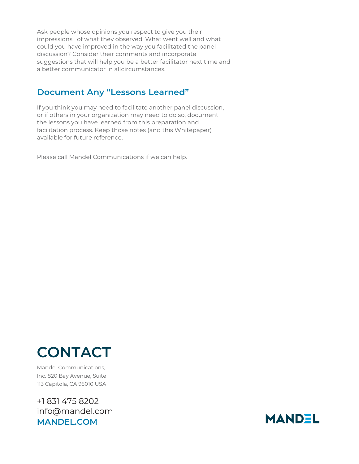Ask people whose opinions you respect to give you their impressions of what they observed. What went well and what could you have improved in the way you facilitated the panel discussion? Consider their comments and incorporate suggestions that will help you be a better facilitator next time and a better communicator in all circumstances.

### **Document Any "Lessons Learned"**

If you think you may need to facilitate another panel discussion, or if others in your organization may need to do so, document the lessons you have learned from this preparation and facilitation process. Keep those notes (and this Whitepaper) available for future reference.

Please call Mandel Communications if we can help.

# **CONTACT**

Mandel Communications, Inc. 820 Bay Avenue, Suite 113 Capitola, CA 95010 USA

+1 831 475 8202 [info@mandel.com](mailto:info@mandel.com) **[MANDEL.COM](http://www.mandel.com/)**